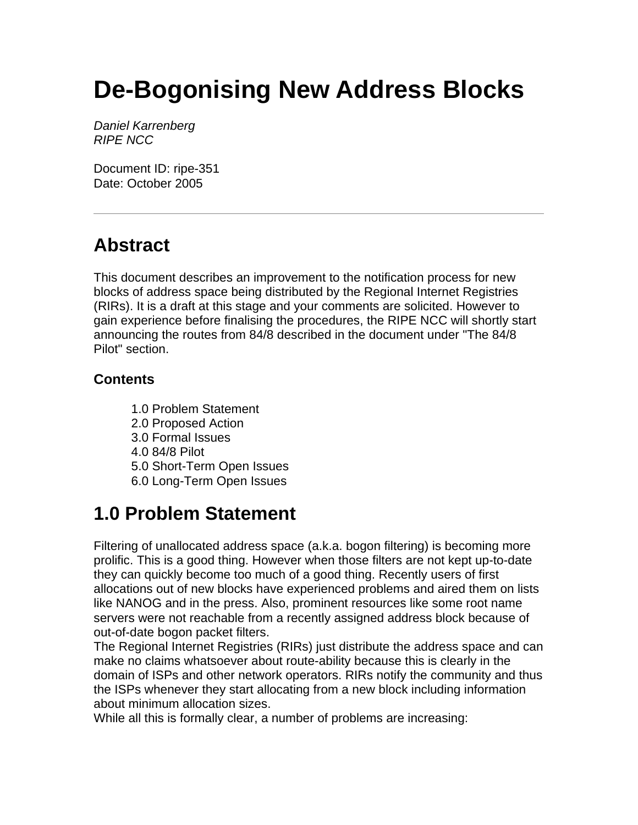# **De-Bogonising New Address Blocks**

*Daniel Karrenberg RIPE NCC*

Document ID: ripe-351 Date: October 2005

# **Abstract**

This document describes an improvement to the notification process for new blocks of address space being distributed by the Regional Internet Registries (RIRs). It is a draft at this stage and your comments are solicited. However to gain experience before finalising the procedures, the RIPE NCC will shortly start announcing the routes from 84/8 described in the document under "The 84/8 Pilot" section.

#### **Contents**

1.0 Problem Statement 2.0 Proposed Action 3.0 Formal Issues 4.0 84/8 Pilot 5.0 Short-Term Open Issues 6.0 Long-Term Open Issues

### **1.0 Problem Statement**

Filtering of unallocated address space (a.k.a. bogon filtering) is becoming more prolific. This is a good thing. However when those filters are not kept up-to-date they can quickly become too much of a good thing. Recently users of first allocations out of new blocks have experienced problems and aired them on lists like NANOG and in the press. Also, prominent resources like some root name servers were not reachable from a recently assigned address block because of out-of-date bogon packet filters.

The Regional Internet Registries (RIRs) just distribute the address space and can make no claims whatsoever about route-ability because this is clearly in the domain of ISPs and other network operators. RIRs notify the community and thus the ISPs whenever they start allocating from a new block including information about minimum allocation sizes.

While all this is formally clear, a number of problems are increasing: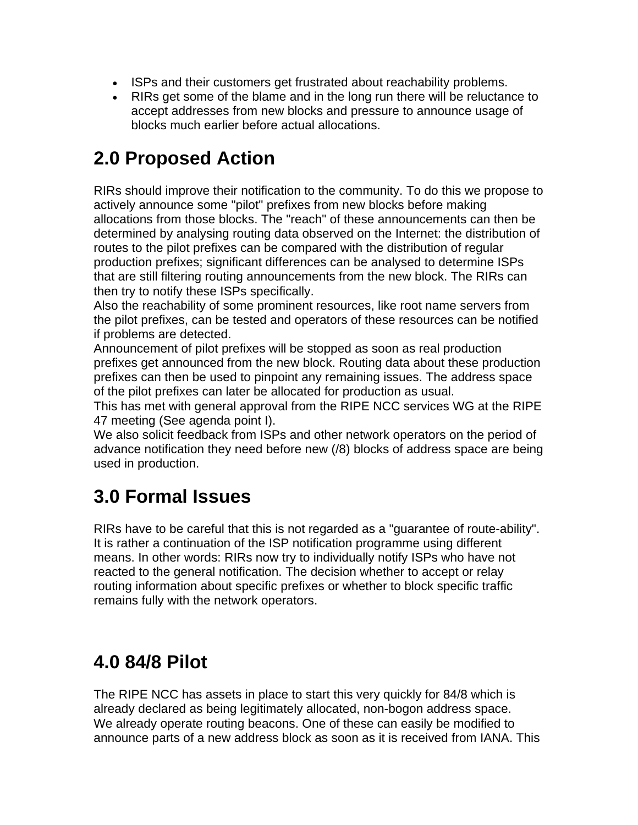- ISPs and their customers get frustrated about reachability problems.
- RIRs get some of the blame and in the long run there will be reluctance to accept addresses from new blocks and pressure to announce usage of blocks much earlier before actual allocations.

### **2.0 Proposed Action**

RIRs should improve their notification to the community. To do this we propose to actively announce some "pilot" prefixes from new blocks before making allocations from those blocks. The "reach" of these announcements can then be determined by analysing routing data observed on the Internet: the distribution of routes to the pilot prefixes can be compared with the distribution of regular production prefixes; significant differences can be analysed to determine ISPs that are still filtering routing announcements from the new block. The RIRs can then try to notify these ISPs specifically.

Also the reachability of some prominent resources, like root name servers from the pilot prefixes, can be tested and operators of these resources can be notified if problems are detected.

Announcement of pilot prefixes will be stopped as soon as real production prefixes get announced from the new block. Routing data about these production prefixes can then be used to pinpoint any remaining issues. The address space of the pilot prefixes can later be allocated for production as usual.

This has met with general approval from the RIPE NCC services WG at the RIPE 47 meeting (See agenda point I).

We also solicit feedback from ISPs and other network operators on the period of advance notification they need before new (/8) blocks of address space are being used in production.

# **3.0 Formal Issues**

RIRs have to be careful that this is not regarded as a "guarantee of route-ability". It is rather a continuation of the ISP notification programme using different means. In other words: RIRs now try to individually notify ISPs who have not reacted to the general notification. The decision whether to accept or relay routing information about specific prefixes or whether to block specific traffic remains fully with the network operators.

### **4.0 84/8 Pilot**

The RIPE NCC has assets in place to start this very quickly for 84/8 which is already declared as being legitimately allocated, non-bogon address space. We already operate routing beacons. One of these can easily be modified to announce parts of a new address block as soon as it is received from IANA. This